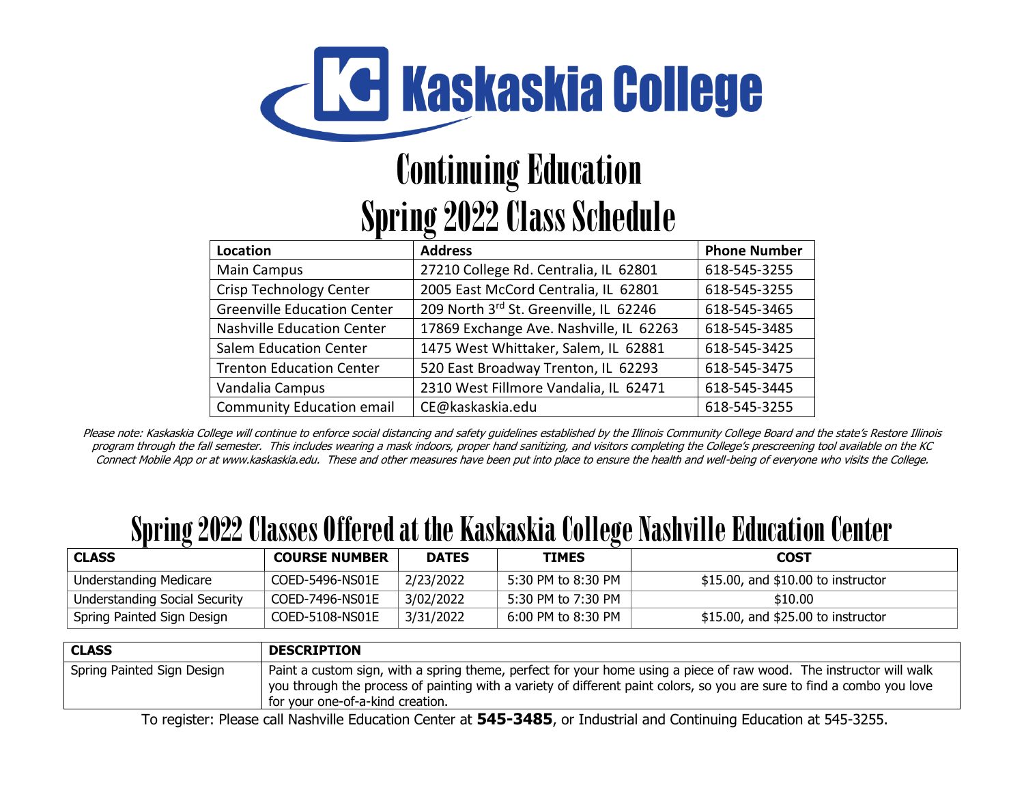

# Continuing Education **Spring 2022 Class Schedule**

| Location                           | <b>Address</b>                          | <b>Phone Number</b> |
|------------------------------------|-----------------------------------------|---------------------|
| <b>Main Campus</b>                 | 27210 College Rd. Centralia, IL 62801   | 618-545-3255        |
| Crisp Technology Center            | 2005 East McCord Centralia, IL 62801    | 618-545-3255        |
| <b>Greenville Education Center</b> | 209 North 3rd St. Greenville, IL 62246  | 618-545-3465        |
| <b>Nashville Education Center</b>  | 17869 Exchange Ave. Nashville, IL 62263 | 618-545-3485        |
| <b>Salem Education Center</b>      | 1475 West Whittaker, Salem, IL 62881    | 618-545-3425        |
| <b>Trenton Education Center</b>    | 520 East Broadway Trenton, IL 62293     | 618-545-3475        |
| Vandalia Campus                    | 2310 West Fillmore Vandalia, IL 62471   | 618-545-3445        |
| Community Education email          | CE@kaskaskia.edu                        | 618-545-3255        |

Please note: Kaskaskia College will continue to enforce social distancing and safety guidelines established by the Illinois Community College Board and the state's Restore Illinois program through the fall semester. This includes wearing a mask indoors, proper hand sanitizing, and visitors completing the College's prescreening tool available on the KC Connect Mobile App or at www.kaskaskia.edu. These and other measures have been put into place to ensure the health and well-being of everyone who visits the College.

#### Spring 2022 Classes Offered at the Kaskaskia College Nashville Education Center

| <b>CLASS</b>                  | <b>COURSE NUMBER</b> | <b>DATES</b> | <b>TIMES</b>       | <b>COST</b>                           |
|-------------------------------|----------------------|--------------|--------------------|---------------------------------------|
| <b>Understanding Medicare</b> | COED-5496-NS01E      | 2/23/2022    | 5:30 PM to 8:30 PM | $$15.00$ , and $$10.00$ to instructor |
| Understanding Social Security | COED-7496-NS01E      | 3/02/2022    | 5:30 PM to 7:30 PM | \$10.00                               |
| Spring Painted Sign Design    | COED-5108-NS01E      | 3/31/2022    | 6:00 PM to 8:30 PM | \$15.00, and \$25.00 to instructor    |

| <b>CLASS</b>               | <b>DESCRIPTION</b>                                                                                                                                                                                                                                                                |
|----------------------------|-----------------------------------------------------------------------------------------------------------------------------------------------------------------------------------------------------------------------------------------------------------------------------------|
| Spring Painted Sign Design | Paint a custom sign, with a spring theme, perfect for your home using a piece of raw wood. The instructor will walk<br>you through the process of painting with a variety of different paint colors, so you are sure to find a combo you love<br>for your one-of-a-kind creation. |

To register: Please call Nashville Education Center at **545-3485**, or Industrial and Continuing Education at 545-3255.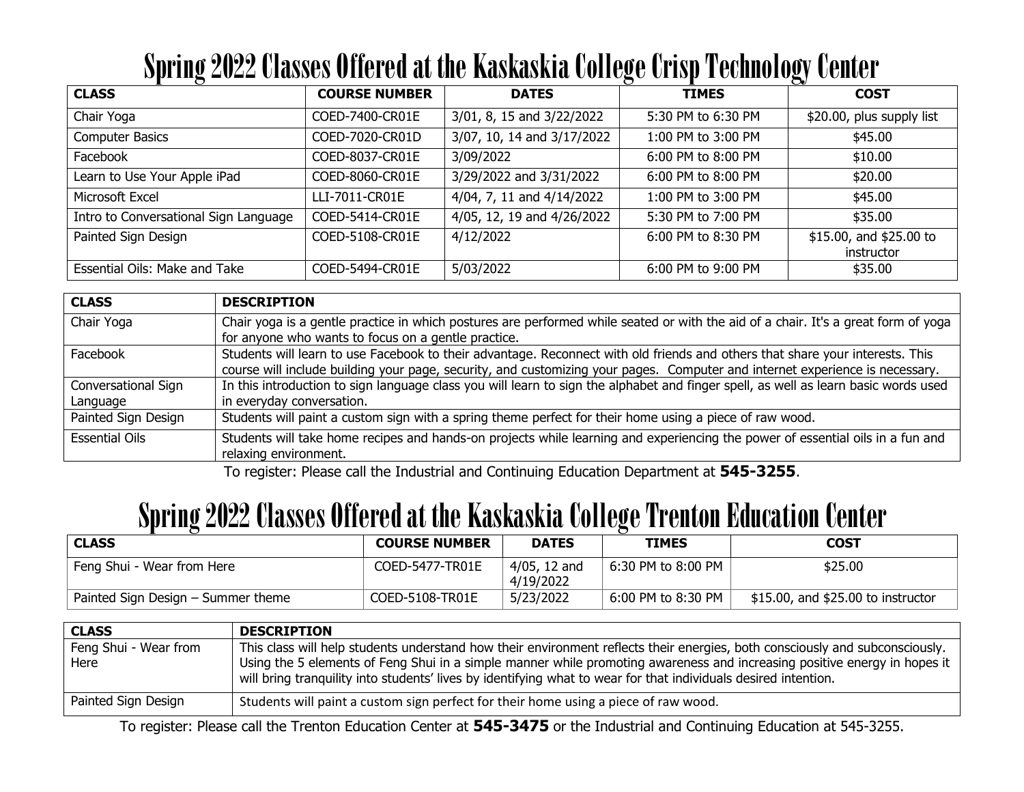## Spring 2022 Classes Offered at the Kaskaskia College Crisp Technology Center

| $\sim$ $\sim$<br><b>CLASS</b>         | <b>COURSE NUMBER</b> | <b>DATES</b>               | ◡<br><b>TIMES</b>  | $\smile$<br><b>COST</b>               |
|---------------------------------------|----------------------|----------------------------|--------------------|---------------------------------------|
| Chair Yoga                            | COED-7400-CR01E      | 3/01, 8, 15 and 3/22/2022  | 5:30 PM to 6:30 PM | \$20.00, plus supply list             |
| <b>Computer Basics</b>                | COED-7020-CR01D      | 3/07, 10, 14 and 3/17/2022 | 1:00 PM to 3:00 PM | \$45.00                               |
| Facebook                              | COED-8037-CR01E      | 3/09/2022                  | 6:00 PM to 8:00 PM | \$10.00                               |
| Learn to Use Your Apple iPad          | COED-8060-CR01E      | 3/29/2022 and 3/31/2022    | 6:00 PM to 8:00 PM | \$20.00                               |
| Microsoft Excel                       | LLI-7011-CR01E       | 4/04, 7, 11 and 4/14/2022  | 1:00 PM to 3:00 PM | \$45.00                               |
| Intro to Conversational Sign Language | COED-5414-CR01E      | 4/05, 12, 19 and 4/26/2022 | 5:30 PM to 7:00 PM | \$35.00                               |
| Painted Sign Design                   | COED-5108-CR01E      | 4/12/2022                  | 6:00 PM to 8:30 PM | \$15.00, and \$25.00 to<br>instructor |
| Essential Oils: Make and Take         | COED-5494-CR01E      | 5/03/2022                  | 6:00 PM to 9:00 PM | \$35.00                               |

| <b>CLASS</b>               | <b>DESCRIPTION</b>                                                                                                                  |
|----------------------------|-------------------------------------------------------------------------------------------------------------------------------------|
| Chair Yoga                 | Chair yoga is a gentle practice in which postures are performed while seated or with the aid of a chair. It's a great form of yoga  |
|                            | for anyone who wants to focus on a gentle practice.                                                                                 |
| Facebook                   | Students will learn to use Facebook to their advantage. Reconnect with old friends and others that share your interests. This       |
|                            | course will include building your page, security, and customizing your pages. Computer and internet experience is necessary.        |
| <b>Conversational Sign</b> | In this introduction to sign language class you will learn to sign the alphabet and finger spell, as well as learn basic words used |
| Language                   | in everyday conversation.                                                                                                           |
| Painted Sign Design        | Students will paint a custom sign with a spring theme perfect for their home using a piece of raw wood.                             |
| <b>Essential Oils</b>      | Students will take home recipes and hands-on projects while learning and experiencing the power of essential oils in a fun and      |
|                            | relaxing environment.                                                                                                               |
|                            |                                                                                                                                     |

To register: Please call the Industrial and Continuing Education Department at **545-3255**.

## Spring 2022 Classes Offered at the Kaskaskia College Trenton Education Center

| <b>CLASS</b>                       | <b>COURSE NUMBER</b> | <b>DATES</b>              | <b>TIMES</b>       | <b>COST</b>                        |
|------------------------------------|----------------------|---------------------------|--------------------|------------------------------------|
| Feng Shui - Wear from Here         | COED-5477-TR01E      | 4/05, 12 and<br>4/19/2022 | 6:30 PM to 8:00 PM | \$25.00                            |
| Painted Sign Design – Summer theme | COED-5108-TR01E      | 5/23/2022                 | 6:00 PM to 8:30 PM | \$15.00, and \$25.00 to instructor |

| <b>CLASS</b>                  | <b>DESCRIPTION</b>                                                                                                                                                                                                                                                                                                                                                           |
|-------------------------------|------------------------------------------------------------------------------------------------------------------------------------------------------------------------------------------------------------------------------------------------------------------------------------------------------------------------------------------------------------------------------|
| Feng Shui - Wear from<br>Here | This class will help students understand how their environment reflects their energies, both consciously and subconsciously.<br>Using the 5 elements of Feng Shui in a simple manner while promoting awareness and increasing positive energy in hopes it<br>will bring tranquility into students' lives by identifying what to wear for that individuals desired intention. |
| Painted Sign Design           | Students will paint a custom sign perfect for their home using a piece of raw wood.                                                                                                                                                                                                                                                                                          |

To register: Please call the Trenton Education Center at **545-3475** or the Industrial and Continuing Education at 545-3255.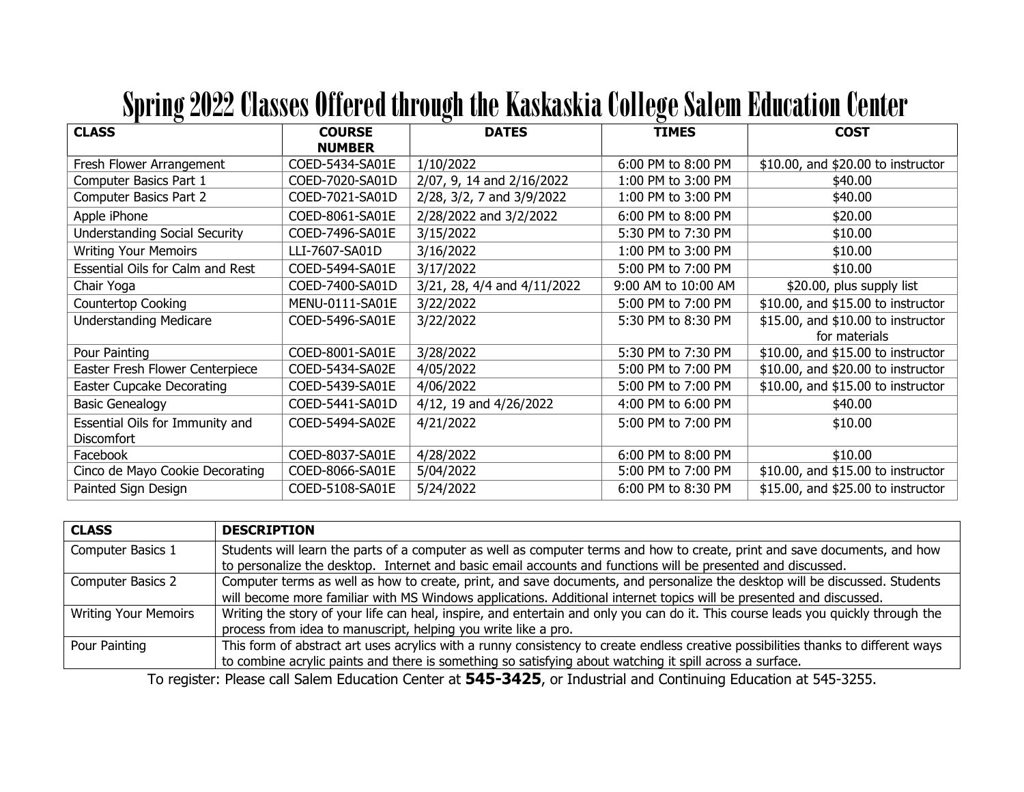| ె                                                    |                                | ◚                           | a                   |                                                     |
|------------------------------------------------------|--------------------------------|-----------------------------|---------------------|-----------------------------------------------------|
| <b>CLASS</b>                                         | <b>COURSE</b><br><b>NUMBER</b> | <b>DATES</b>                | <b>TIMES</b>        | <b>COST</b>                                         |
| Fresh Flower Arrangement                             | COED-5434-SA01E                | 1/10/2022                   | 6:00 PM to 8:00 PM  | \$10.00, and \$20.00 to instructor                  |
| Computer Basics Part 1                               | COED-7020-SA01D                | 2/07, 9, 14 and 2/16/2022   | 1:00 PM to 3:00 PM  | \$40.00                                             |
| Computer Basics Part 2                               | COED-7021-SA01D                | 2/28, 3/2, 7 and 3/9/2022   | 1:00 PM to 3:00 PM  | \$40.00                                             |
| Apple iPhone                                         | COED-8061-SA01E                | 2/28/2022 and 3/2/2022      | 6:00 PM to 8:00 PM  | \$20.00                                             |
| <b>Understanding Social Security</b>                 | COED-7496-SA01E                | 3/15/2022                   | 5:30 PM to 7:30 PM  | \$10.00                                             |
| <b>Writing Your Memoirs</b>                          | LLI-7607-SA01D                 | 3/16/2022                   | 1:00 PM to 3:00 PM  | \$10.00                                             |
| Essential Oils for Calm and Rest                     | COED-5494-SA01E                | 3/17/2022                   | 5:00 PM to 7:00 PM  | \$10.00                                             |
| Chair Yoga                                           | COED-7400-SA01D                | 3/21, 28, 4/4 and 4/11/2022 | 9:00 AM to 10:00 AM | \$20.00, plus supply list                           |
| Countertop Cooking                                   | MENU-0111-SA01E                | 3/22/2022                   | 5:00 PM to 7:00 PM  | \$10.00, and \$15.00 to instructor                  |
| <b>Understanding Medicare</b>                        | COED-5496-SA01E                | 3/22/2022                   | 5:30 PM to 8:30 PM  | \$15.00, and \$10.00 to instructor<br>for materials |
| Pour Painting                                        | COED-8001-SA01E                | 3/28/2022                   | 5:30 PM to 7:30 PM  | \$10.00, and \$15.00 to instructor                  |
| Easter Fresh Flower Centerpiece                      | COED-5434-SA02E                | 4/05/2022                   | 5:00 PM to 7:00 PM  | \$10.00, and \$20.00 to instructor                  |
| <b>Easter Cupcake Decorating</b>                     | COED-5439-SA01E                | 4/06/2022                   | 5:00 PM to 7:00 PM  | \$10.00, and \$15.00 to instructor                  |
| <b>Basic Genealogy</b>                               | COED-5441-SA01D                | 4/12, 19 and 4/26/2022      | 4:00 PM to 6:00 PM  | \$40.00                                             |
| Essential Oils for Immunity and<br><b>Discomfort</b> | COED-5494-SA02E                | 4/21/2022                   | 5:00 PM to 7:00 PM  | \$10.00                                             |
| Facebook                                             | COED-8037-SA01E                | 4/28/2022                   | 6:00 PM to 8:00 PM  | \$10.00                                             |
| Cinco de Mayo Cookie Decorating                      | COED-8066-SA01E                | 5/04/2022                   | 5:00 PM to 7:00 PM  | \$10.00, and \$15.00 to instructor                  |
| Painted Sign Design                                  | COED-5108-SA01E                | 5/24/2022                   | 6:00 PM to 8:30 PM  | \$15.00, and \$25.00 to instructor                  |

## Spring 2022 Classes Offered through the Kaskaskia College Salem Education Center

| <b>CLASS</b>                | <b>DESCRIPTION</b>                                                                                                                                                                                                                         |
|-----------------------------|--------------------------------------------------------------------------------------------------------------------------------------------------------------------------------------------------------------------------------------------|
| Computer Basics 1           | Students will learn the parts of a computer as well as computer terms and how to create, print and save documents, and how<br>to personalize the desktop. Internet and basic email accounts and functions will be presented and discussed. |
| <b>Computer Basics 2</b>    | Computer terms as well as how to create, print, and save documents, and personalize the desktop will be discussed. Students                                                                                                                |
|                             | will become more familiar with MS Windows applications. Additional internet topics will be presented and discussed.                                                                                                                        |
| <b>Writing Your Memoirs</b> | Writing the story of your life can heal, inspire, and entertain and only you can do it. This course leads you quickly through the                                                                                                          |
|                             | process from idea to manuscript, helping you write like a pro.                                                                                                                                                                             |
| Pour Painting               | This form of abstract art uses acrylics with a runny consistency to create endless creative possibilities thanks to different ways                                                                                                         |
|                             | to combine acrylic paints and there is something so satisfying about watching it spill across a surface.                                                                                                                                   |

To register: Please call Salem Education Center at **545-3425**, or Industrial and Continuing Education at 545-3255.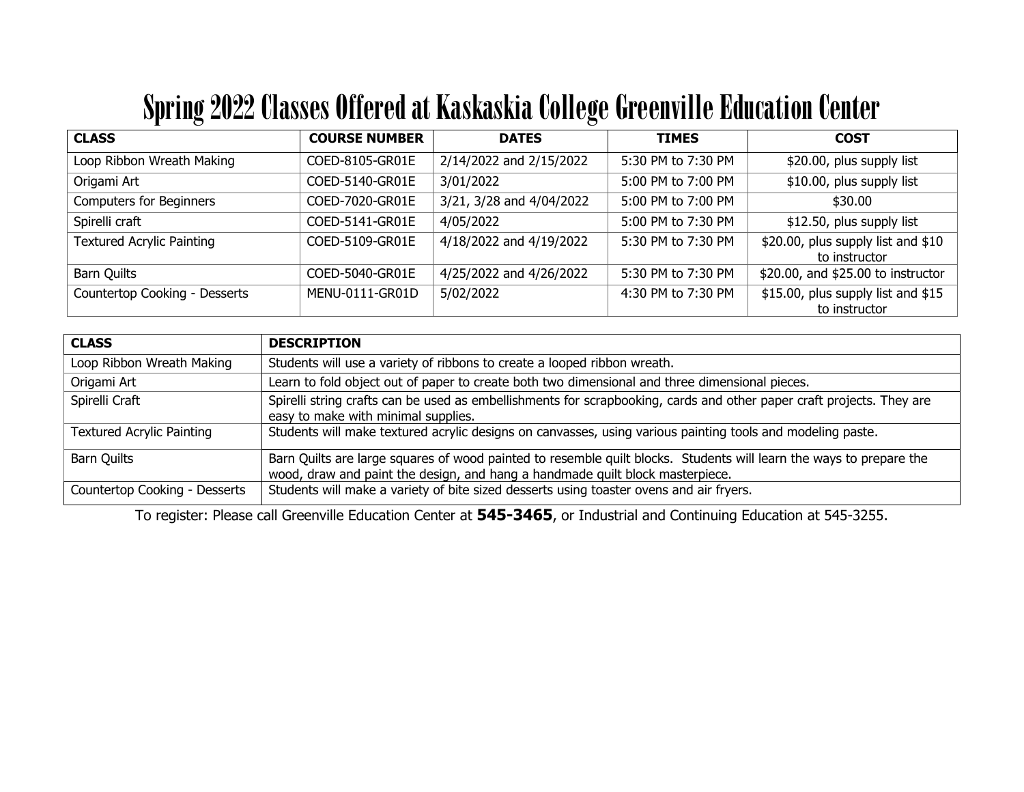# Spring 2022 Classes Offered at Kaskaskia College Greenville Education Center

| <b>CLASS</b>                     | <b>COURSE NUMBER</b> | <b>DATES</b>             | <b>TIMES</b>       | <b>COST</b>                                         |
|----------------------------------|----------------------|--------------------------|--------------------|-----------------------------------------------------|
| Loop Ribbon Wreath Making        | COED-8105-GR01E      | 2/14/2022 and 2/15/2022  | 5:30 PM to 7:30 PM | \$20.00, plus supply list                           |
| Origami Art                      | COED-5140-GR01E      | 3/01/2022                | 5:00 PM to 7:00 PM | \$10.00, plus supply list                           |
| <b>Computers for Beginners</b>   | COED-7020-GR01E      | 3/21, 3/28 and 4/04/2022 | 5:00 PM to 7:00 PM | \$30.00                                             |
| Spirelli craft                   | COED-5141-GR01E      | 4/05/2022                | 5:00 PM to 7:30 PM | \$12.50, plus supply list                           |
| <b>Textured Acrylic Painting</b> | COED-5109-GR01E      | 4/18/2022 and 4/19/2022  | 5:30 PM to 7:30 PM | \$20.00, plus supply list and \$10<br>to instructor |
| <b>Barn Quilts</b>               | COED-5040-GR01E      | 4/25/2022 and 4/26/2022  | 5:30 PM to 7:30 PM | \$20.00, and \$25.00 to instructor                  |
| Countertop Cooking - Desserts    | MENU-0111-GR01D      | 5/02/2022                | 4:30 PM to 7:30 PM | \$15.00, plus supply list and \$15<br>to instructor |

| <b>CLASS</b>                     | <b>DESCRIPTION</b>                                                                                                                                                                                   |
|----------------------------------|------------------------------------------------------------------------------------------------------------------------------------------------------------------------------------------------------|
| Loop Ribbon Wreath Making        | Students will use a variety of ribbons to create a looped ribbon wreath.                                                                                                                             |
| Origami Art                      | Learn to fold object out of paper to create both two dimensional and three dimensional pieces.                                                                                                       |
| Spirelli Craft                   | Spirelli string crafts can be used as embellishments for scrapbooking, cards and other paper craft projects. They are<br>easy to make with minimal supplies.                                         |
| <b>Textured Acrylic Painting</b> | Students will make textured acrylic designs on canvasses, using various painting tools and modeling paste.                                                                                           |
| <b>Barn Quilts</b>               | Barn Quilts are large squares of wood painted to resemble quilt blocks. Students will learn the ways to prepare the<br>wood, draw and paint the design, and hang a handmade quilt block masterpiece. |
| Countertop Cooking - Desserts    | Students will make a variety of bite sized desserts using toaster ovens and air fryers.                                                                                                              |

To register: Please call Greenville Education Center at **545-3465**, or Industrial and Continuing Education at 545-3255.